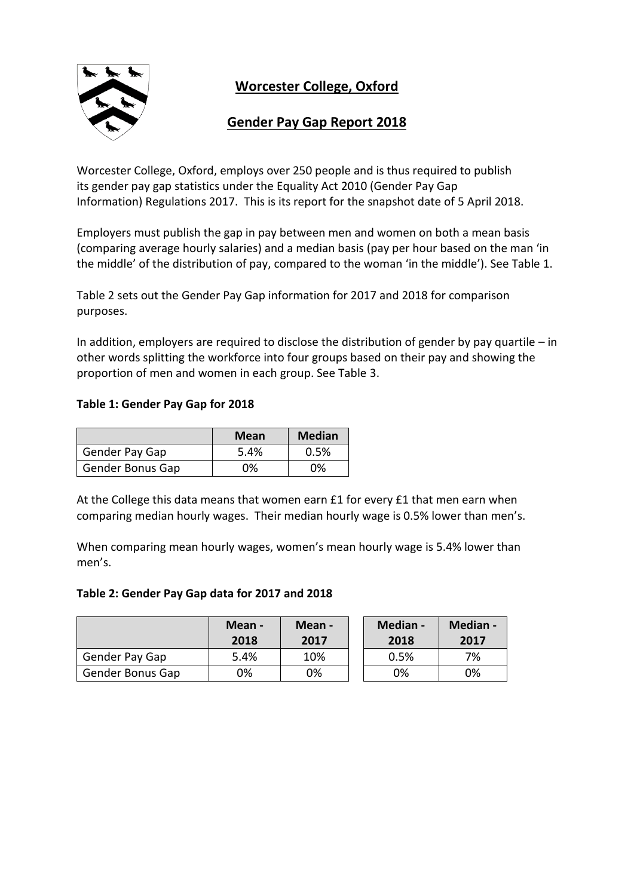

**Worcester College, Oxford**

# **Gender Pay Gap Report 2018**

Worcester College, Oxford, employs over 250 people and is thus required to publish its gender pay gap statistics under the Equality Act 2010 (Gender Pay Gap Information) Regulations 2017. This is its report for the snapshot date of 5 April 2018.

Employers must publish the gap in pay between men and women on both a mean basis (comparing average hourly salaries) and a median basis (pay per hour based on the man 'in the middle' of the distribution of pay, compared to the woman 'in the middle'). See Table 1.

Table 2 sets out the Gender Pay Gap information for 2017 and 2018 for comparison purposes.

In addition, employers are required to disclose the distribution of gender by pay quartile – in other words splitting the workforce into four groups based on their pay and showing the proportion of men and women in each group. See Table 3.

# **Table 1: Gender Pay Gap for 2018**

|                         | Mean | <b>Median</b> |
|-------------------------|------|---------------|
| Gender Pay Gap          | 5.4% | 0.5%          |
| <b>Gender Bonus Gap</b> | 0%   | ገ%            |

At the College this data means that women earn £1 for every £1 that men earn when comparing median hourly wages. Their median hourly wage is 0.5% lower than men's.

When comparing mean hourly wages, women's mean hourly wage is 5.4% lower than men's.

#### **Table 2: Gender Pay Gap data for 2017 and 2018**

|                  | Mean -<br>2018 | Mean -<br>2017 | Median -<br>2018 | Median -<br>2017 |
|------------------|----------------|----------------|------------------|------------------|
| Gender Pay Gap   | 5.4%           | 10%            | 0.5%             | 7%               |
| Gender Bonus Gap | 0%             | 0%             | 0%               | 0%               |